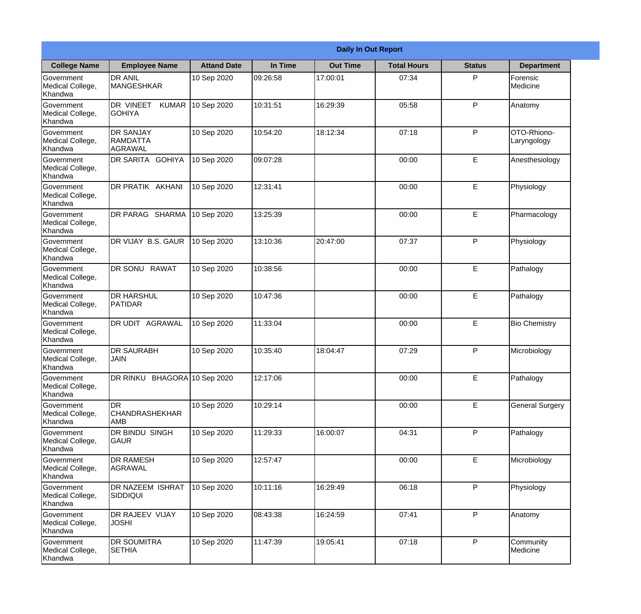|                                                  |                                            |                    |          | <b>Daily In Out Report</b> |                    |               |                            |
|--------------------------------------------------|--------------------------------------------|--------------------|----------|----------------------------|--------------------|---------------|----------------------------|
| <b>College Name</b>                              | <b>Employee Name</b>                       | <b>Attand Date</b> | In Time  | <b>Out Time</b>            | <b>Total Hours</b> | <b>Status</b> | <b>Department</b>          |
| Government<br>Medical College,<br>Khandwa        | <b>DR ANIL</b><br><b>MANGESHKAR</b>        | 10 Sep 2020        | 09:26:58 | 17:00:01                   | 07:34              | P             | Forensic<br>Medicine       |
| Government<br>Medical College,<br>Khandwa        | DR VINEET<br><b>KUMAR</b><br><b>GOHIYA</b> | 10 Sep 2020        | 10:31:51 | 16:29:39                   | 05:58              | P             | Anatomy                    |
| <b>Government</b><br>Medical College,<br>Khandwa | <b>IDR SANJAY</b><br>RAMDATTA<br>AGRAWAL   | 10 Sep 2020        | 10:54:20 | 18:12:34                   | 07:18              | P             | OTO-Rhiono-<br>Laryngology |
| Government<br>Medical College,<br>Khandwa        | <b>DR SARITA GOHIYA</b>                    | 10 Sep 2020        | 09:07:28 |                            | 00:00              | E             | Anesthesiology             |
| Government<br>Medical College,<br>Khandwa        | DR PRATIK AKHANI                           | 10 Sep 2020        | 12:31:41 |                            | 00:00              | E             | Physiology                 |
| Government<br>Medical College,<br>Khandwa        | DR PARAG SHARMA                            | 10 Sep 2020        | 13:25:39 |                            | 00:00              | E             | Pharmacology               |
| Government<br>Medical College,<br>Khandwa        | DR VIJAY B.S. GAUR                         | 10 Sep 2020        | 13:10:36 | 20:47:00                   | 07:37              | P             | Physiology                 |
| Government<br>Medical College,<br>Khandwa        | <b>DR SONU RAWAT</b>                       | 10 Sep 2020        | 10:38:56 |                            | 00:00              | E             | Pathalogy                  |
| Government<br>Medical College,<br>Khandwa        | <b>DR HARSHUL</b><br>PATIDAR               | 10 Sep 2020        | 10:47:36 |                            | 00:00              | E             | Pathalogy                  |
| Government<br>Medical College,<br>Khandwa        | DR UDIT<br>AGRAWAL                         | 10 Sep 2020        | 11:33:04 |                            | 00:00              | E             | <b>Bio Chemistry</b>       |
| Government<br>Medical College,<br>Khandwa        | <b>IDR SAURABH</b><br><b>JAIN</b>          | 10 Sep 2020        | 10:35:40 | 18:04:47                   | 07:29              | $\mathsf{P}$  | Microbiology               |
| Government<br>Medical College,<br>Khandwa        | DR RINKU BHAGORA 10 Sep 2020               |                    | 12:17:06 |                            | 00:00              | E             | Pathalogy                  |
| Government<br>Medical College,<br>Khandwa        | IDR.<br><b>CHANDRASHEKHAR</b><br>AMB       | 10 Sep 2020        | 10:29:14 |                            | 00:00              | E             | <b>General Surgery</b>     |
| Government<br>Medical College,<br>Khandwa        | DR BINDU SINGH<br><b>GAUR</b>              | 10 Sep 2020        | 11:29:33 | 16:00:07                   | 04:31              | P             | Pathalogy                  |
| Government<br>Medical College,<br>Khandwa        | <b>DR RAMESH</b><br>AGRAWAL                | 10 Sep 2020        | 12:57:47 |                            | 00:00              | E             | Microbiology               |
| Government<br>Medical College,<br>Khandwa        | <b>DR NAZEEM ISHRAT</b><br><b>SIDDIQUI</b> | 10 Sep 2020        | 10:11:16 | 16:29:49                   | 06:18              | P             | Physiology                 |
| Government<br>Medical College,<br>Khandwa        | DR RAJEEV VIJAY<br><b>JOSHI</b>            | 10 Sep 2020        | 08:43:38 | 16:24:59                   | 07:41              | P             | Anatomy                    |
| Government<br>Medical College,<br>Khandwa        | <b>DR SOUMITRA</b><br><b>SETHIA</b>        | 10 Sep 2020        | 11:47:39 | 19:05:41                   | 07:18              | P             | Community<br>Medicine      |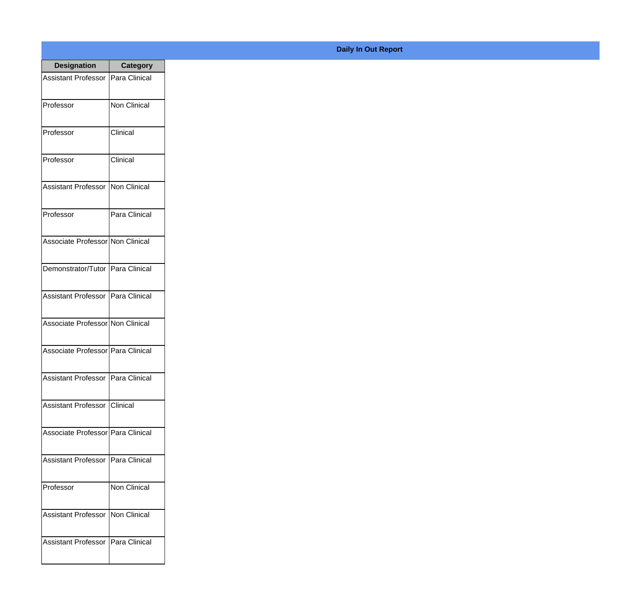| <b>Designation</b>                  | <b>Category</b> |
|-------------------------------------|-----------------|
| Assistant Professor   Para Clinical |                 |
| Professor                           | Non Clinical    |
| Professor                           | Clinical        |
| Professor                           | Clinical        |
| <b>Assistant Professor</b>          | Non Clinical    |
| Professor                           | Para Clinical   |
| Associate Professor Non Clinical    |                 |
| Demonstrator/Tutor   Para Clinical  |                 |
| Assistant Professor   Para Clinical |                 |
| Associate Professor Non Clinical    |                 |
| Associate Professor   Para Clinical |                 |
| Assistant Professor   Para Clinical |                 |
| Assistant Professor   Clinical      |                 |
| Associate Professor Para Clinical   |                 |
| Assistant Professor                 | Para Clinical   |
| Professor                           | Non Clinical    |
| <b>Assistant Professor</b>          | Non Clinical    |
| Assistant Professor   Para Clinical |                 |

## **Daily In Out Report**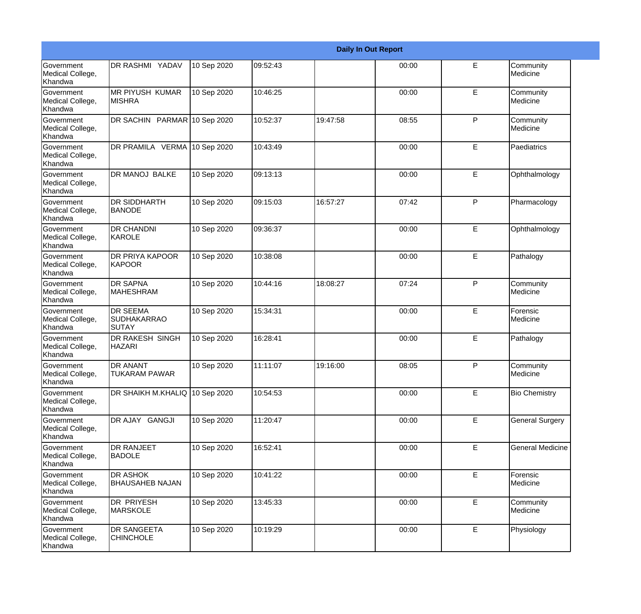|                                                         |                                                       |             |          |          | <b>Daily In Out Report</b> |              |                         |
|---------------------------------------------------------|-------------------------------------------------------|-------------|----------|----------|----------------------------|--------------|-------------------------|
| <b>Government</b><br>Medical College,<br>Khandwa        | DR RASHMI YADAV                                       | 10 Sep 2020 | 09:52:43 |          | 00:00                      | E            | Community<br>Medicine   |
| <b>Government</b><br>Medical College,<br>Khandwa        | <b>MR PIYUSH KUMAR</b><br><b>MISHRA</b>               | 10 Sep 2020 | 10:46:25 |          | 00:00                      | E            | Community<br>Medicine   |
| <b>Government</b><br>Medical College,<br>Khandwa        | DR SACHIN PARMAR 10 Sep 2020                          |             | 10:52:37 | 19:47:58 | 08:55                      | P            | Community<br>Medicine   |
| <b>Government</b><br>Medical College,<br>Khandwa        | DR PRAMILA VERMA 10 Sep 2020                          |             | 10:43:49 |          | 00:00                      | E            | Paediatrics             |
| Government<br>Medical College,<br>Khandwa               | DR MANOJ BALKE                                        | 10 Sep 2020 | 09:13:13 |          | 00:00                      | E            | Ophthalmology           |
| <b>Government</b><br>Medical College,<br><b>Khandwa</b> | <b>DR SIDDHARTH</b><br>BANODE                         | 10 Sep 2020 | 09:15:03 | 16:57:27 | 07:42                      | P            | Pharmacology            |
| Government<br>Medical College,<br>Khandwa               | <b>DR CHANDNI</b><br>KAROLE                           | 10 Sep 2020 | 09:36:37 |          | 00:00                      | E            | Ophthalmology           |
| Government<br>Medical College,<br>Khandwa               | <b>DR PRIYA KAPOOR</b><br>KAPOOR                      | 10 Sep 2020 | 10:38:08 |          | 00:00                      | E            | Pathalogy               |
| Government<br>Medical College,<br>Khandwa               | <b>DR SAPNA</b><br><b>MAHESHRAM</b>                   | 10 Sep 2020 | 10:44:16 | 18:08:27 | 07:24                      | $\mathsf{P}$ | Community<br>Medicine   |
| <b>Government</b><br>Medical College,<br>Khandwa        | <b>DR SEEMA</b><br><b>SUDHAKARRAO</b><br><b>SUTAY</b> | 10 Sep 2020 | 15:34:31 |          | 00:00                      | E            | Forensic<br>Medicine    |
| <b>Government</b><br>Medical College,<br>Khandwa        | <b>DR RAKESH SINGH</b><br><b>HAZARI</b>               | 10 Sep 2020 | 16:28:41 |          | 00:00                      | E            | Pathalogy               |
| Government<br>Medical College,<br>Khandwa               | <b>DR ANANT</b><br><b>TUKARAM PAWAR</b>               | 10 Sep 2020 | 11:11:07 | 19:16:00 | 08:05                      | P            | Community<br>Medicine   |
| <b>Government</b><br>Medical College,<br>Khandwa        | DR SHAIKH M.KHALIQ 10 Sep 2020                        |             | 10:54:53 |          | 00:00                      | E            | <b>Bio Chemistry</b>    |
| Government<br>Medical College,<br>Khandwa               | DR AJAY GANGJI                                        | 10 Sep 2020 | 11:20:47 |          | 00:00                      | $\mathsf E$  | <b>General Surgery</b>  |
| Government<br>Medical College,<br>Khandwa               | <b>DR RANJEET</b><br><b>BADOLE</b>                    | 10 Sep 2020 | 16:52:41 |          | 00:00                      | E            | <b>General Medicine</b> |
| Government<br>Medical College,<br>Khandwa               | <b>DR ASHOK</b><br><b>BHAUSAHEB NAJAN</b>             | 10 Sep 2020 | 10:41:22 |          | 00:00                      | E            | Forensic<br>Medicine    |
| Government<br>Medical College,<br>Khandwa               | <b>DR PRIYESH</b><br><b>MARSKOLE</b>                  | 10 Sep 2020 | 13:45:33 |          | 00:00                      | E            | Community<br>Medicine   |
| Government<br>Medical College,<br>Khandwa               | <b>DR SANGEETA</b><br><b>CHINCHOLE</b>                | 10 Sep 2020 | 10:19:29 |          | 00:00                      | E            | Physiology              |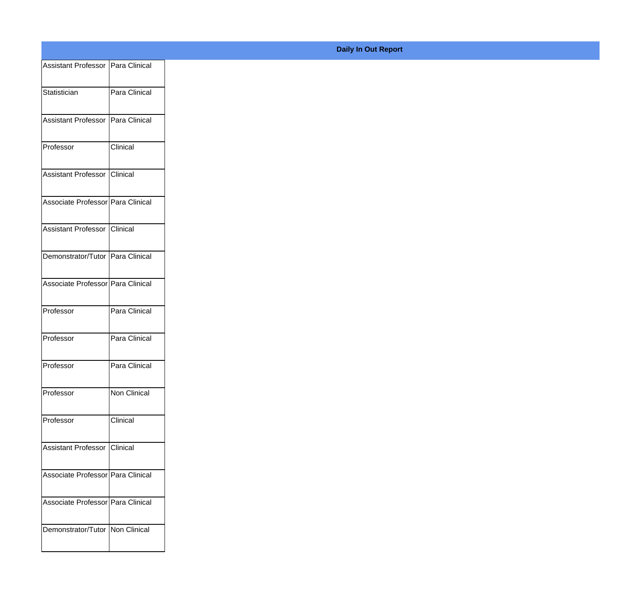| Assistant Professor   Para Clinical |               |
|-------------------------------------|---------------|
| Statistician                        | Para Clinical |
|                                     |               |
| Assistant Professor   Para Clinical |               |
| Professor                           | Clinical      |
| Assistant Professor Clinical        |               |
| Associate Professor   Para Clinical |               |
| Assistant Professor Clinical        |               |
| Demonstrator/Tutor Para Clinical    |               |
| Associate Professor Para Clinical   |               |
| Professor                           | Para Clinical |
|                                     |               |
| Professor                           | Para Clinical |
| Professor                           | Para Clinical |
| Professor                           | Non Clinical  |
| Professor                           | Clinical      |
| Assistant Professor Clinical        |               |
| Associate Professor Para Clinical   |               |
| Associate Professor Para Clinical   |               |
| Demonstrator/Tutor   Non Clinical   |               |
|                                     |               |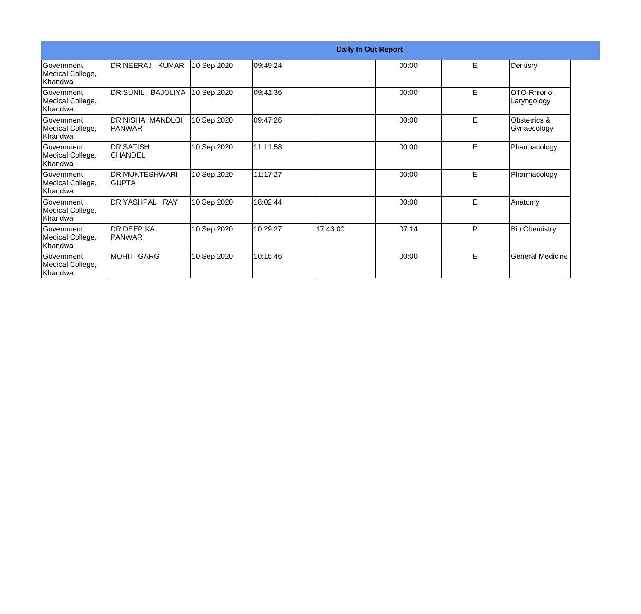|                                                   |                                       |             |          |          | <b>Daily In Out Report</b> |    |                             |
|---------------------------------------------------|---------------------------------------|-------------|----------|----------|----------------------------|----|-----------------------------|
| Government<br>Medical College,<br>lKhandwa        | DR NEERAJ KUMAR                       | 10 Sep 2020 | 09:49:24 |          | 00:00                      | E. | Dentisry                    |
| Government<br>Medical College,<br>Khandwa         | DR SUNIL BAJOLIYA                     | 10 Sep 2020 | 09:41:36 |          | 00:00                      | E  | OTO-Rhiono-<br>Laryngology  |
| Government<br>Medical College,<br>Khandwa         | DR NISHA MANDLOI<br>PANWAR            | 10 Sep 2020 | 09:47:26 |          | 00:00                      | E  | Obstetrics &<br>Gynaecology |
| <b>Government</b><br>Medical College,<br>lKhandwa | <b>DR SATISH</b><br><b>CHANDEL</b>    | 10 Sep 2020 | 11:11:58 |          | 00:00                      | E  | Pharmacology                |
| Government<br>Medical College,<br>Khandwa         | <b>DR MUKTESHWARI</b><br><b>GUPTA</b> | 10 Sep 2020 | 11:17:27 |          | 00:00                      | E  | Pharmacology                |
| Government<br>Medical College,<br>Khandwa         | DR YASHPAL RAY                        | 10 Sep 2020 | 18:02:44 |          | 00:00                      | E. | Anatomy                     |
| <b>Sovernment</b><br>Medical College,<br>Khandwa  | <b>DR DEEPIKA</b><br><b>PANWAR</b>    | 10 Sep 2020 | 10:29:27 | 17:43:00 | 07:14                      | P  | <b>Bio Chemistry</b>        |
| Government<br>Medical College,<br>Khandwa         | <b>MOHIT GARG</b>                     | 10 Sep 2020 | 10:15:46 |          | 00:00                      | E  | <b>General Medicine</b>     |